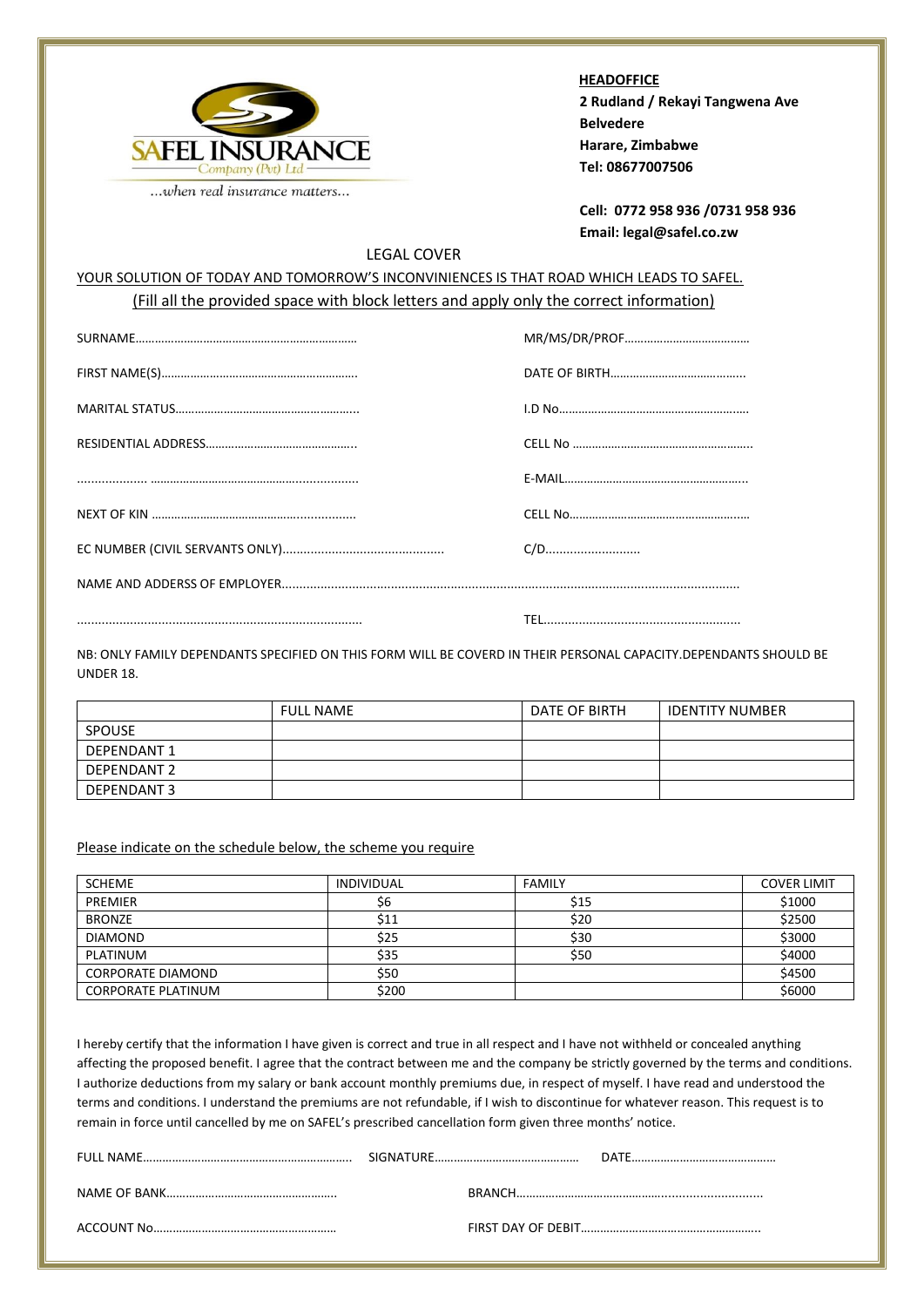

 **HEADOFFICE 2 Rudland / Rekayi Tangwena Ave Belvedere Harare, Zimbabwe Tel: 08677007506**

**Cell: 0772 958 936 /0731 958 936 Email: legal@safel.co.zw**

## LEGAL COVER

## YOUR SOLUTION OF TODAY AND TOMORROW'S INCONVINIENCES IS THAT ROAD WHICH LEADS TO SAFEL. (Fill all the provided space with block letters and apply only the correct information)

NB: ONLY FAMILY DEPENDANTS SPECIFIED ON THIS FORM WILL BE COVERD IN THEIR PERSONAL CAPACITY.DEPENDANTS SHOULD BE UNDER 18.

|                    | <b>FULL NAME</b> | DATE OF BIRTH | <b>IDENTITY NUMBER</b> |
|--------------------|------------------|---------------|------------------------|
| <b>SPOUSE</b>      |                  |               |                        |
| <b>DEPENDANT 1</b> |                  |               |                        |
| DEPENDANT 2        |                  |               |                        |
| DEPENDANT 3        |                  |               |                        |

## Please indicate on the schedule below, the scheme you require

| <b>SCHEME</b>             | INDIVIDUAL | <b>FAMILY</b> | <b>COVER LIMIT</b> |
|---------------------------|------------|---------------|--------------------|
| <b>PREMIER</b>            | S6         | \$15          | \$1000             |
| <b>BRONZE</b>             | \$11       | \$20          | \$2500             |
| <b>DIAMOND</b>            | \$25       | \$30          | \$3000             |
| PLATINUM                  | \$35       | \$50          | \$4000             |
| <b>CORPORATE DIAMOND</b>  | \$50       |               | \$4500             |
| <b>CORPORATE PLATINUM</b> | \$200      |               | \$6000             |

I hereby certify that the information I have given is correct and true in all respect and I have not withheld or concealed anything affecting the proposed benefit. I agree that the contract between me and the company be strictly governed by the terms and conditions. I authorize deductions from my salary or bank account monthly premiums due, in respect of myself. I have read and understood the terms and conditions. I understand the premiums are not refundable, if I wish to discontinue for whatever reason. This request is to remain in force until cancelled by me on SAFEL's prescribed cancellation form given three months' notice.